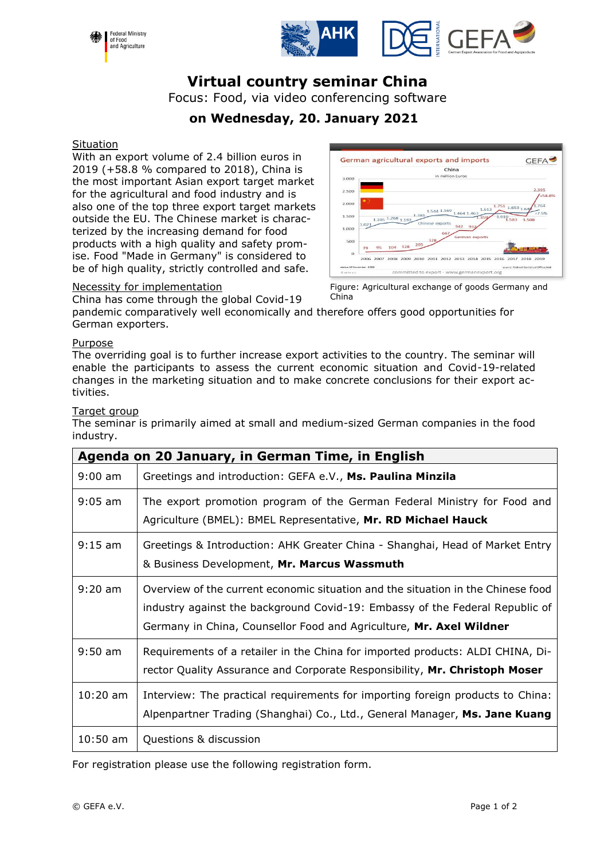



# **Virtual country seminar China**

Focus: Food, via video conferencing software

## **on Wednesday, 20. January 2021**

#### **Situation**

With an export volume of 2.4 billion euros in 2019 (+58.8 % compared to 2018), China is the most important Asian export target market for the agricultural and food industry and is also one of the top three export target markets outside the EU. The Chinese market is characterized by the increasing demand for food products with a high quality and safety promise. Food "Made in Germany" is considered to be of high quality, strictly controlled and safe.



#### Necessity for implementation

China has come through the global Covid-19

pandemic comparatively well economically and therefore offers good opportunities for German exporters.

China

#### Purpose

The overriding goal is to further increase export activities to the country. The seminar will enable the participants to assess the current economic situation and Covid-19-related changes in the marketing situation and to make concrete conclusions for their export activities.

#### Target group

The seminar is primarily aimed at small and medium-sized German companies in the food industry.

| Agenda on 20 January, in German Time, in English |                                                                                                                                                                                                                                         |  |
|--------------------------------------------------|-----------------------------------------------------------------------------------------------------------------------------------------------------------------------------------------------------------------------------------------|--|
| $9:00$ am                                        | Greetings and introduction: GEFA e.V., Ms. Paulina Minzila                                                                                                                                                                              |  |
| $9:05$ am                                        | The export promotion program of the German Federal Ministry for Food and<br>Agriculture (BMEL): BMEL Representative, Mr. RD Michael Hauck                                                                                               |  |
| $9:15$ am                                        | Greetings & Introduction: AHK Greater China - Shanghai, Head of Market Entry<br>& Business Development, Mr. Marcus Wassmuth                                                                                                             |  |
| $9:20$ am                                        | Overview of the current economic situation and the situation in the Chinese food<br>industry against the background Covid-19: Embassy of the Federal Republic of<br>Germany in China, Counsellor Food and Agriculture, Mr. Axel Wildner |  |
| $9:50$ am                                        | Requirements of a retailer in the China for imported products: ALDI CHINA, Di-<br>rector Quality Assurance and Corporate Responsibility, Mr. Christoph Moser                                                                            |  |
| $10:20$ am                                       | Interview: The practical requirements for importing foreign products to China:<br>Alpenpartner Trading (Shanghai) Co., Ltd., General Manager, Ms. Jane Kuang                                                                            |  |
| $10:50$ am                                       | Questions & discussion                                                                                                                                                                                                                  |  |

For registration please use the following registration form.